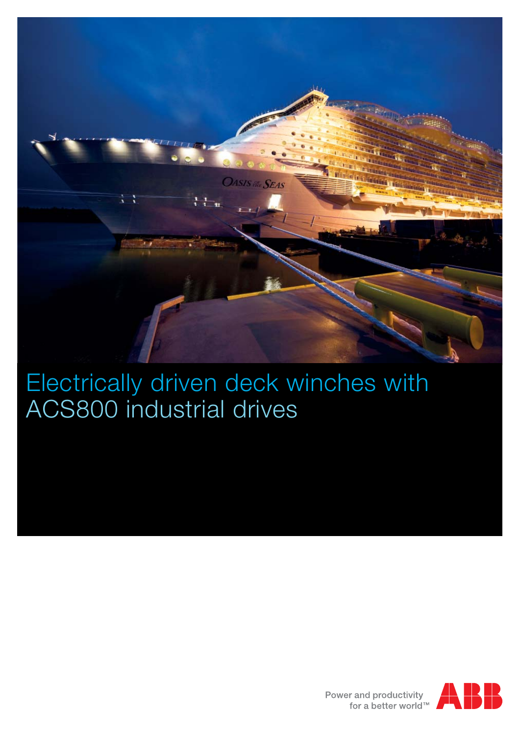

## Electrically driven deck winches with ACS800 industrial drives

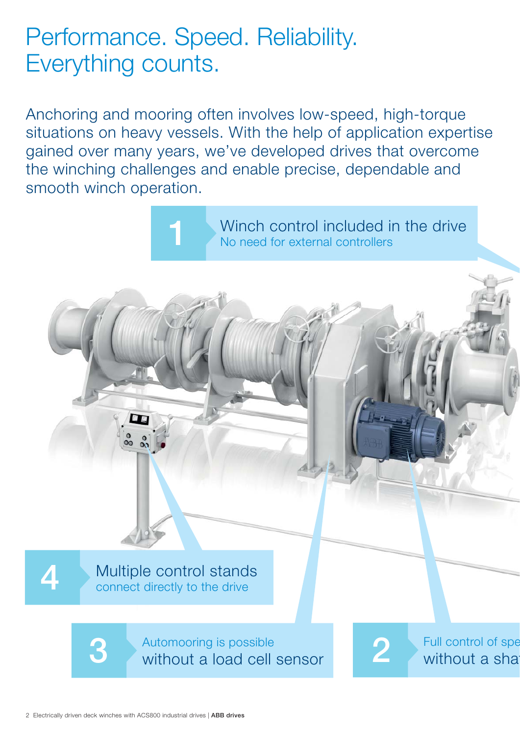## Performance. Speed. Reliability. Everything counts.

**1**

Anchoring and mooring often involves low-speed, high-torque situations on heavy vessels. With the help of application expertise gained over many years, we've developed drives that overcome the winching challenges and enable precise, dependable and smooth winch operation.

> Winch control included in the drive No need for external controllers

> > Full control of spe without a sha

Multiple control stands connect directly to the drive

**3 2** without a load cell sensor Automooring is possible

2 Electrically driven deck winches with ACS800 industrial drives | **ABB drives**

4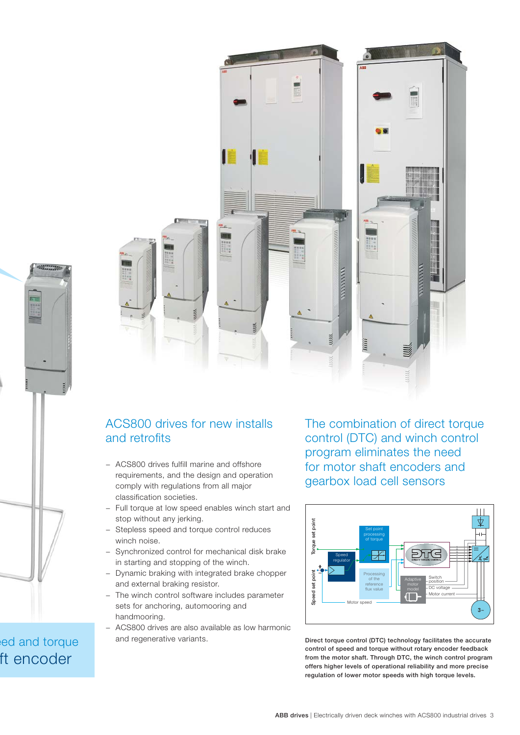

eed and torque ft encoder



## ACS800 drives for new installs and retrofits

- − ACS800 drives fulfill marine and offshore requirements, and the design and operation comply with regulations from all major classification societies.
- Full torque at low speed enables winch start and stop without any jerking.
- Stepless speed and torque control reduces winch noise.
- − Synchronized control for mechanical disk brake in starting and stopping of the winch.
- − Dynamic braking with integrated brake chopper and external braking resistor.
- − The winch control software includes parameter sets for anchoring, automooring and handmooring.
- − ACS800 drives are also available as low harmonic and regenerative variants.

The combination of direct torque control (DTC) and winch control program eliminates the need for motor shaft encoders and gearbox load cell sensors



**Direct torque control (DTC) technology facilitates the accurate control of speed and torque without rotary encoder feedback from the motor shaft. Through DTC, the winch control program offers higher levels of operational reliability and more precise regulation of lower motor speeds with high torque levels.**